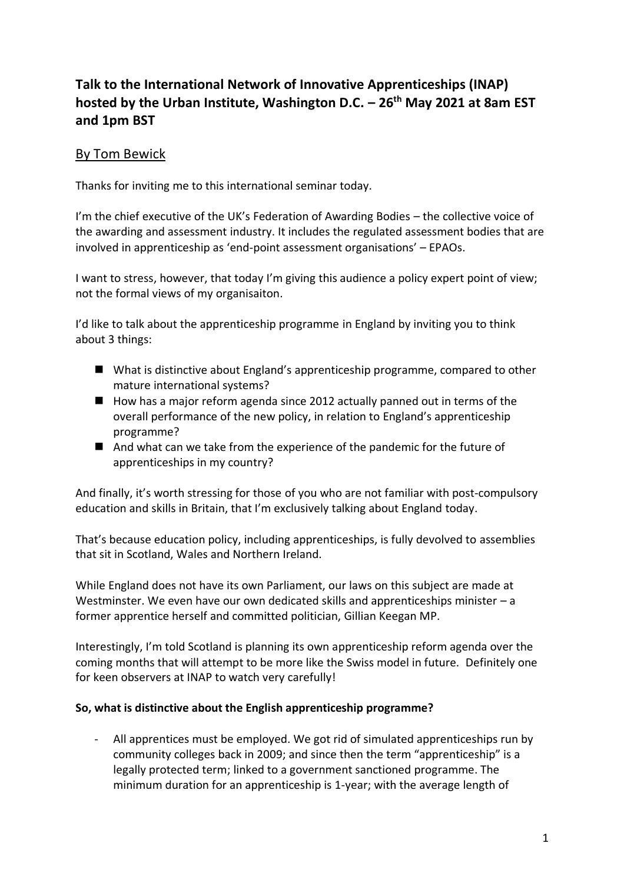# **Talk to the International Network of Innovative Apprenticeships (INAP) hosted by the Urban Institute, Washington D.C. – 26th May 2021 at 8am EST and 1pm BST**

## By Tom Bewick

Thanks for inviting me to this international seminar today.

I'm the chief executive of the UK's Federation of Awarding Bodies – the collective voice of the awarding and assessment industry. It includes the regulated assessment bodies that are involved in apprenticeship as 'end-point assessment organisations' – EPAOs.

I want to stress, however, that today I'm giving this audience a policy expert point of view; not the formal views of my organisaiton.

I'd like to talk about the apprenticeship programme in England by inviting you to think about 3 things:

- What is distinctive about England's apprenticeship programme, compared to other mature international systems?
- How has a major reform agenda since 2012 actually panned out in terms of the overall performance of the new policy, in relation to England's apprenticeship programme?
- And what can we take from the experience of the pandemic for the future of apprenticeships in my country?

And finally, it's worth stressing for those of you who are not familiar with post-compulsory education and skills in Britain, that I'm exclusively talking about England today.

That's because education policy, including apprenticeships, is fully devolved to assemblies that sit in Scotland, Wales and Northern Ireland.

While England does not have its own Parliament, our laws on this subject are made at Westminster. We even have our own dedicated skills and apprenticeships minister  $-a$ former apprentice herself and committed politician, Gillian Keegan MP.

Interestingly, I'm told Scotland is planning its own apprenticeship reform agenda over the coming months that will attempt to be more like the Swiss model in future. Definitely one for keen observers at INAP to watch very carefully!

#### **So, what is distinctive about the English apprenticeship programme?**

All apprentices must be employed. We got rid of simulated apprenticeships run by community colleges back in 2009; and since then the term "apprenticeship" is a legally protected term; linked to a government sanctioned programme. The minimum duration for an apprenticeship is 1-year; with the average length of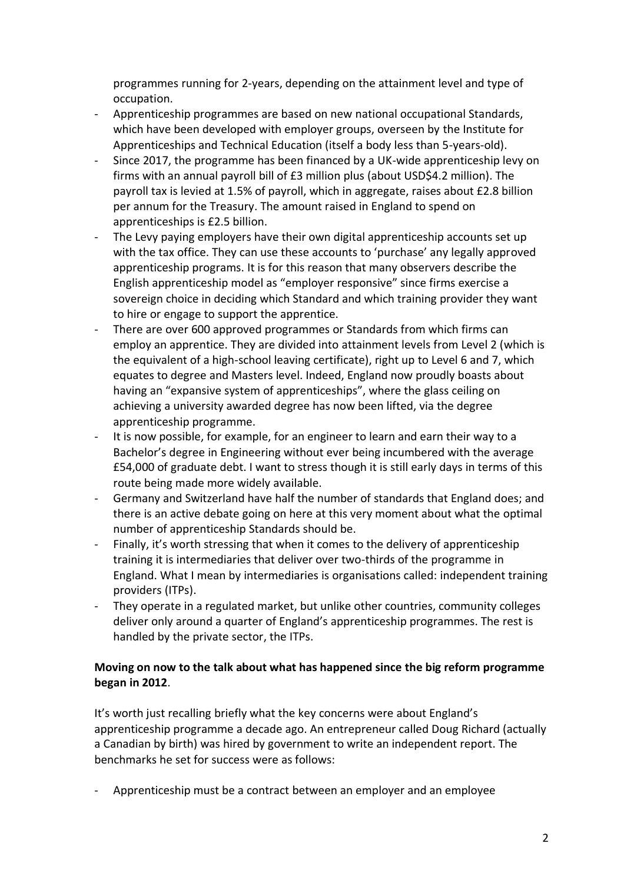programmes running for 2-years, depending on the attainment level and type of occupation.

- Apprenticeship programmes are based on new national occupational Standards, which have been developed with employer groups, overseen by the Institute for Apprenticeships and Technical Education (itself a body less than 5-years-old).
- Since 2017, the programme has been financed by a UK-wide apprenticeship levy on firms with an annual payroll bill of £3 million plus (about USD\$4.2 million). The payroll tax is levied at 1.5% of payroll, which in aggregate, raises about £2.8 billion per annum for the Treasury. The amount raised in England to spend on apprenticeships is £2.5 billion.
- The Levy paying employers have their own digital apprenticeship accounts set up with the tax office. They can use these accounts to 'purchase' any legally approved apprenticeship programs. It is for this reason that many observers describe the English apprenticeship model as "employer responsive" since firms exercise a sovereign choice in deciding which Standard and which training provider they want to hire or engage to support the apprentice.
- There are over 600 approved programmes or Standards from which firms can employ an apprentice. They are divided into attainment levels from Level 2 (which is the equivalent of a high-school leaving certificate), right up to Level 6 and 7, which equates to degree and Masters level. Indeed, England now proudly boasts about having an "expansive system of apprenticeships", where the glass ceiling on achieving a university awarded degree has now been lifted, via the degree apprenticeship programme.
- It is now possible, for example, for an engineer to learn and earn their way to a Bachelor's degree in Engineering without ever being incumbered with the average £54,000 of graduate debt. I want to stress though it is still early days in terms of this route being made more widely available.
- Germany and Switzerland have half the number of standards that England does; and there is an active debate going on here at this very moment about what the optimal number of apprenticeship Standards should be.
- Finally, it's worth stressing that when it comes to the delivery of apprenticeship training it is intermediaries that deliver over two-thirds of the programme in England. What I mean by intermediaries is organisations called: independent training providers (ITPs).
- They operate in a regulated market, but unlike other countries, community colleges deliver only around a quarter of England's apprenticeship programmes. The rest is handled by the private sector, the ITPs.

## **Moving on now to the talk about what has happened since the big reform programme began in 2012**.

It's worth just recalling briefly what the key concerns were about England's apprenticeship programme a decade ago. An entrepreneur called Doug Richard (actually a Canadian by birth) was hired by government to write an independent report. The benchmarks he set for success were as follows:

- Apprenticeship must be a contract between an employer and an employee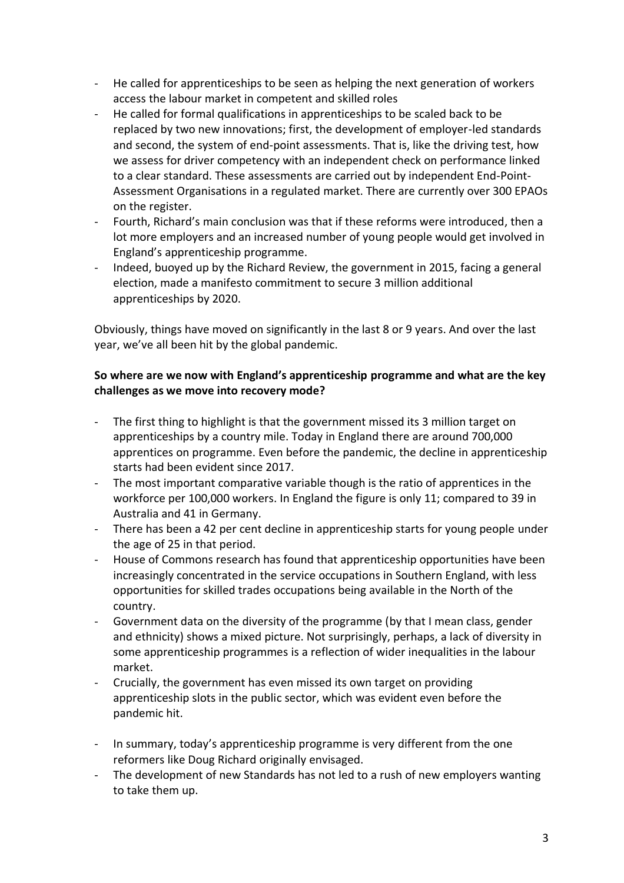- He called for apprenticeships to be seen as helping the next generation of workers access the labour market in competent and skilled roles
- He called for formal qualifications in apprenticeships to be scaled back to be replaced by two new innovations; first, the development of employer-led standards and second, the system of end-point assessments. That is, like the driving test, how we assess for driver competency with an independent check on performance linked to a clear standard. These assessments are carried out by independent End-Point-Assessment Organisations in a regulated market. There are currently over 300 EPAOs on the register.
- Fourth, Richard's main conclusion was that if these reforms were introduced, then a lot more employers and an increased number of young people would get involved in England's apprenticeship programme.
- Indeed, buoyed up by the Richard Review, the government in 2015, facing a general election, made a manifesto commitment to secure 3 million additional apprenticeships by 2020.

Obviously, things have moved on significantly in the last 8 or 9 years. And over the last year, we've all been hit by the global pandemic.

### **So where are we now with England's apprenticeship programme and what are the key challenges as we move into recovery mode?**

- The first thing to highlight is that the government missed its 3 million target on apprenticeships by a country mile. Today in England there are around 700,000 apprentices on programme. Even before the pandemic, the decline in apprenticeship starts had been evident since 2017.
- The most important comparative variable though is the ratio of apprentices in the workforce per 100,000 workers. In England the figure is only 11; compared to 39 in Australia and 41 in Germany.
- There has been a 42 per cent decline in apprenticeship starts for young people under the age of 25 in that period.
- House of Commons research has found that apprenticeship opportunities have been increasingly concentrated in the service occupations in Southern England, with less opportunities for skilled trades occupations being available in the North of the country.
- Government data on the diversity of the programme (by that I mean class, gender and ethnicity) shows a mixed picture. Not surprisingly, perhaps, a lack of diversity in some apprenticeship programmes is a reflection of wider inequalities in the labour market.
- Crucially, the government has even missed its own target on providing apprenticeship slots in the public sector, which was evident even before the pandemic hit.
- In summary, today's apprenticeship programme is very different from the one reformers like Doug Richard originally envisaged.
- The development of new Standards has not led to a rush of new employers wanting to take them up.